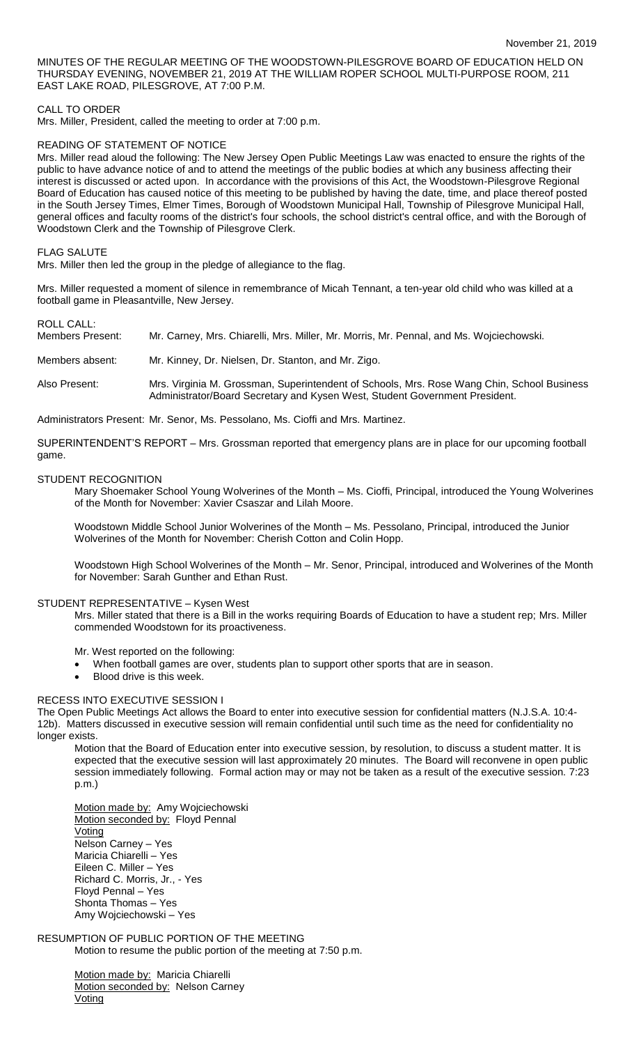MINUTES OF THE REGULAR MEETING OF THE WOODSTOWN-PILESGROVE BOARD OF EDUCATION HELD ON THURSDAY EVENING, NOVEMBER 21, 2019 AT THE WILLIAM ROPER SCHOOL MULTI-PURPOSE ROOM, 211 EAST LAKE ROAD, PILESGROVE, AT 7:00 P.M.

### CALL TO ORDER

Mrs. Miller, President, called the meeting to order at 7:00 p.m.

### READING OF STATEMENT OF NOTICE

Mrs. Miller read aloud the following: The New Jersey Open Public Meetings Law was enacted to ensure the rights of the public to have advance notice of and to attend the meetings of the public bodies at which any business affecting their interest is discussed or acted upon. In accordance with the provisions of this Act, the Woodstown-Pilesgrove Regional Board of Education has caused notice of this meeting to be published by having the date, time, and place thereof posted in the South Jersey Times, Elmer Times, Borough of Woodstown Municipal Hall, Township of Pilesgrove Municipal Hall, general offices and faculty rooms of the district's four schools, the school district's central office, and with the Borough of Woodstown Clerk and the Township of Pilesgrove Clerk.

### FLAG SALUTE

Mrs. Miller then led the group in the pledge of allegiance to the flag.

Mrs. Miller requested a moment of silence in remembrance of Micah Tennant, a ten-year old child who was killed at a football game in Pleasantville, New Jersey.

## ROLL CALL:

| Members Present:                            | Mr. Carney, Mrs. Chiarelli, Mrs. Miller, Mr. Morris, Mr. Pennal, and Ms. Wojciechowski. |  |  |  |  |
|---------------------------------------------|-----------------------------------------------------------------------------------------|--|--|--|--|
| Members absent:                             | Mr. Kinney, Dr. Nielsen, Dr. Stanton, and Mr. Zigo.                                     |  |  |  |  |
| Alexandre and the state of the state of the | Mar Martite M. Arrestera A. Battler Land (Artista Marti Bras Miles Alte Artisti Barters |  |  |  |  |

Also Present: Mrs. Virginia M. Grossman, Superintendent of Schools, Mrs. Rose Wang Chin, School Business Administrator/Board Secretary and Kysen West, Student Government President.

Administrators Present: Mr. Senor, Ms. Pessolano, Ms. Cioffi and Mrs. Martinez.

SUPERINTENDENT'S REPORT – Mrs. Grossman reported that emergency plans are in place for our upcoming football game.

#### STUDENT RECOGNITION

Mary Shoemaker School Young Wolverines of the Month – Ms. Cioffi, Principal, introduced the Young Wolverines of the Month for November: Xavier Csaszar and Lilah Moore.

Woodstown Middle School Junior Wolverines of the Month – Ms. Pessolano, Principal, introduced the Junior Wolverines of the Month for November: Cherish Cotton and Colin Hopp.

Woodstown High School Wolverines of the Month – Mr. Senor, Principal, introduced and Wolverines of the Month for November: Sarah Gunther and Ethan Rust.

### STUDENT REPRESENTATIVE – Kysen West

Mrs. Miller stated that there is a Bill in the works requiring Boards of Education to have a student rep; Mrs. Miller commended Woodstown for its proactiveness.

Mr. West reported on the following:

- When football games are over, students plan to support other sports that are in season.
- Blood drive is this week.

## RECESS INTO EXECUTIVE SESSION I

The Open Public Meetings Act allows the Board to enter into executive session for confidential matters (N.J.S.A. 10:4- 12b). Matters discussed in executive session will remain confidential until such time as the need for confidentiality no longer exists.

Motion that the Board of Education enter into executive session, by resolution, to discuss a student matter. It is expected that the executive session will last approximately 20 minutes. The Board will reconvene in open public session immediately following. Formal action may or may not be taken as a result of the executive session. 7:23 p.m.)

Motion made by: Amy Wojciechowski Motion seconded by: Floyd Pennal Voting Nelson Carney – Yes Maricia Chiarelli – Yes Eileen C. Miller – Yes Richard C. Morris, Jr., - Yes Floyd Pennal – Yes Shonta Thomas – Yes Amy Wojciechowski – Yes

#### RESUMPTION OF PUBLIC PORTION OF THE MEETING Motion to resume the public portion of the meeting at 7:50 p.m.

Motion made by: Maricia Chiarelli Motion seconded by: Nelson Carney **Voting**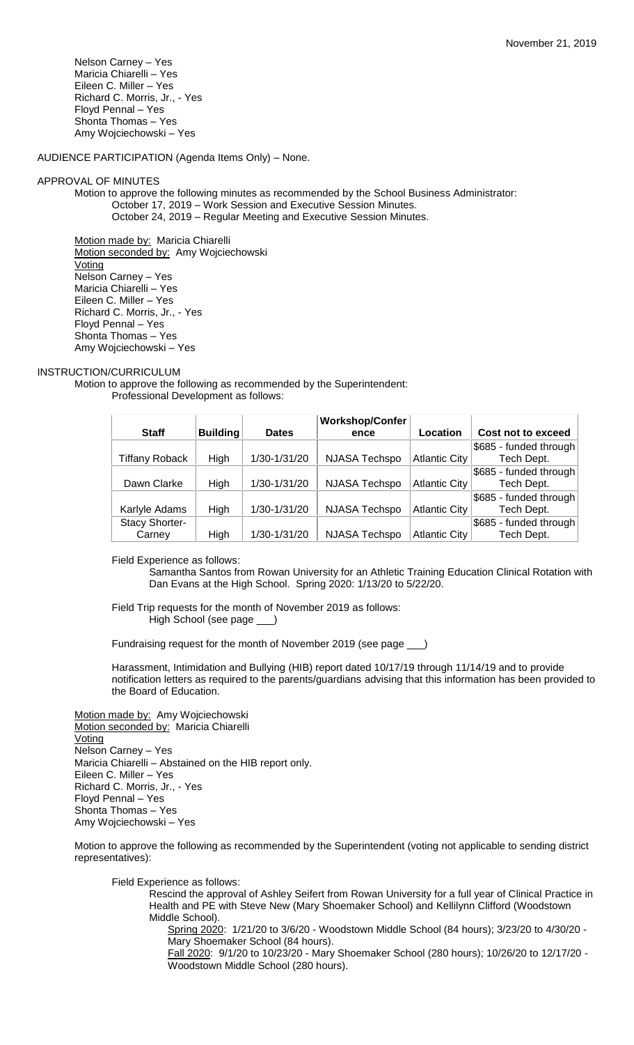Nelson Carney – Yes Maricia Chiarelli – Yes Eileen C. Miller – Yes Richard C. Morris, Jr., - Yes Floyd Pennal – Yes Shonta Thomas – Yes Amy Wojciechowski – Yes

AUDIENCE PARTICIPATION (Agenda Items Only) – None.

### APPROVAL OF MINUTES

Motion to approve the following minutes as recommended by the School Business Administrator: October 17, 2019 – Work Session and Executive Session Minutes. October 24, 2019 – Regular Meeting and Executive Session Minutes.

Motion made by: Maricia Chiarelli Motion seconded by: Amy Wojciechowski Voting Nelson Carney – Yes Maricia Chiarelli – Yes Eileen C. Miller – Yes Richard C. Morris, Jr., - Yes Floyd Pennal – Yes Shonta Thomas – Yes Amy Wojciechowski – Yes

### INSTRUCTION/CURRICULUM

Motion to approve the following as recommended by the Superintendent: Professional Development as follows:

|                       |                 |              | <b>Workshop/Confer</b> |                      |                        |
|-----------------------|-----------------|--------------|------------------------|----------------------|------------------------|
| <b>Staff</b>          | <b>Building</b> | <b>Dates</b> | ence                   | Location             | Cost not to exceed     |
|                       |                 |              |                        |                      | \$685 - funded through |
| <b>Tiffany Roback</b> | <b>High</b>     | 1/30-1/31/20 | <b>NJASA Techspo</b>   | <b>Atlantic City</b> | Tech Dept.             |
|                       |                 |              |                        |                      | \$685 - funded through |
| Dawn Clarke           | High            | 1/30-1/31/20 | <b>NJASA Techspo</b>   | <b>Atlantic City</b> | Tech Dept.             |
|                       |                 |              |                        |                      | \$685 - funded through |
| Karlyle Adams         | High            | 1/30-1/31/20 | <b>NJASA Techspo</b>   | <b>Atlantic City</b> | Tech Dept.             |
| Stacy Shorter-        |                 |              |                        |                      | \$685 - funded through |
| Carney                | High            | 1/30-1/31/20 | <b>NJASA Techspo</b>   | Atlantic City        | Tech Dept.             |

Field Experience as follows:

Samantha Santos from Rowan University for an Athletic Training Education Clinical Rotation with Dan Evans at the High School. Spring 2020: 1/13/20 to 5/22/20.

Field Trip requests for the month of November 2019 as follows: High School (see page \_\_\_)

Fundraising request for the month of November 2019 (see page \_\_\_)

Harassment, Intimidation and Bullying (HIB) report dated 10/17/19 through 11/14/19 and to provide notification letters as required to the parents/guardians advising that this information has been provided to the Board of Education.

Motion made by: Amy Wojciechowski Motion seconded by: Maricia Chiarelli Voting Nelson Carney – Yes Maricia Chiarelli – Abstained on the HIB report only. Eileen C. Miller – Yes Richard C. Morris, Jr., - Yes Floyd Pennal – Yes Shonta Thomas – Yes Amy Wojciechowski – Yes

Motion to approve the following as recommended by the Superintendent (voting not applicable to sending district representatives):

Field Experience as follows:

Rescind the approval of Ashley Seifert from Rowan University for a full year of Clinical Practice in Health and PE with Steve New (Mary Shoemaker School) and Kellilynn Clifford (Woodstown Middle School).

Spring 2020: 1/21/20 to 3/6/20 - Woodstown Middle School (84 hours); 3/23/20 to 4/30/20 - Mary Shoemaker School (84 hours).

Fall 2020: 9/1/20 to 10/23/20 - Mary Shoemaker School (280 hours); 10/26/20 to 12/17/20 - Woodstown Middle School (280 hours).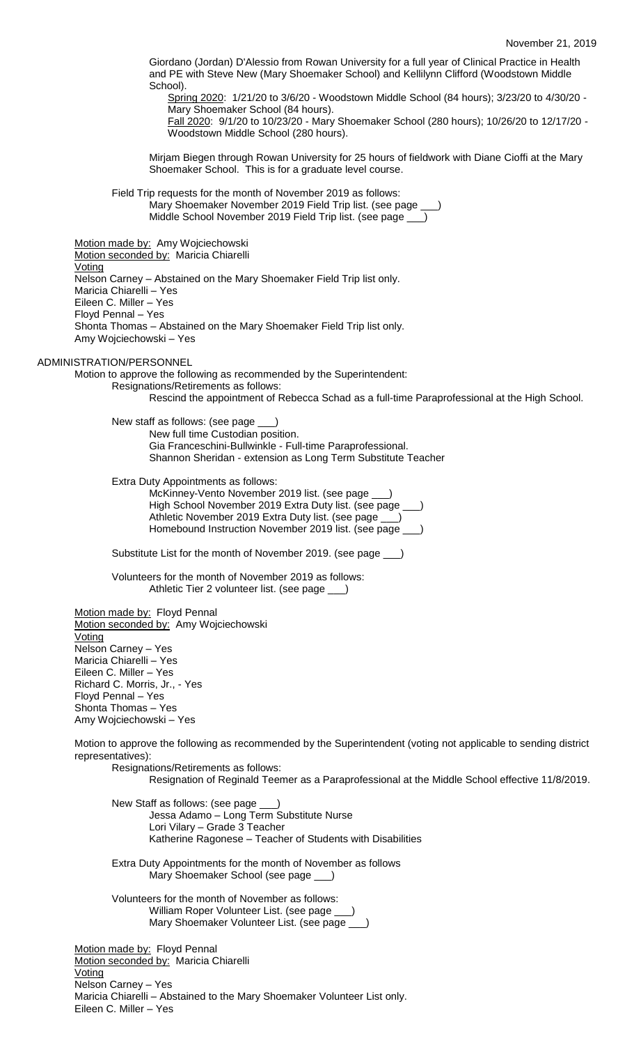Giordano (Jordan) D'Alessio from Rowan University for a full year of Clinical Practice in Health and PE with Steve New (Mary Shoemaker School) and Kellilynn Clifford (Woodstown Middle School).

Spring 2020: 1/21/20 to 3/6/20 - Woodstown Middle School (84 hours); 3/23/20 to 4/30/20 - Mary Shoemaker School (84 hours).

Fall 2020: 9/1/20 to 10/23/20 - Mary Shoemaker School (280 hours); 10/26/20 to 12/17/20 - Woodstown Middle School (280 hours).

Mirjam Biegen through Rowan University for 25 hours of fieldwork with Diane Cioffi at the Mary Shoemaker School. This is for a graduate level course.

Field Trip requests for the month of November 2019 as follows: Mary Shoemaker November 2019 Field Trip list. (see page \_ Middle School November 2019 Field Trip list. (see page \_

Motion made by: Amy Wojciechowski Motion seconded by: Maricia Chiarelli Voting Nelson Carney – Abstained on the Mary Shoemaker Field Trip list only. Maricia Chiarelli – Yes Eileen C. Miller – Yes Floyd Pennal – Yes Shonta Thomas – Abstained on the Mary Shoemaker Field Trip list only. Amy Wojciechowski – Yes

ADMINISTRATION/PERSONNEL

Motion to approve the following as recommended by the Superintendent: Resignations/Retirements as follows:

Rescind the appointment of Rebecca Schad as a full-time Paraprofessional at the High School.

New staff as follows: (see page New full time Custodian position. Gia Franceschini-Bullwinkle - Full-time Paraprofessional. Shannon Sheridan - extension as Long Term Substitute Teacher

Extra Duty Appointments as follows:

McKinney-Vento November 2019 list. (see page \_\_\_) High School November 2019 Extra Duty list. (see page \_\_\_) Athletic November 2019 Extra Duty list. (see page \_\_\_) Homebound Instruction November 2019 list. (see page \_\_\_)

Substitute List for the month of November 2019. (see page \_\_\_)

Volunteers for the month of November 2019 as follows: Athletic Tier 2 volunteer list. (see page \_\_\_)

Motion made by: Floyd Pennal Motion seconded by: Amy Wojciechowski Voting Nelson Carney – Yes Maricia Chiarelli – Yes Eileen C. Miller – Yes Richard C. Morris, Jr., - Yes Floyd Pennal – Yes Shonta Thomas – Yes Amy Wojciechowski – Yes

Motion to approve the following as recommended by the Superintendent (voting not applicable to sending district representatives):

Resignations/Retirements as follows: Resignation of Reginald Teemer as a Paraprofessional at the Middle School effective 11/8/2019.

New Staff as follows: (see page \_\_\_) Jessa Adamo – Long Term Substitute Nurse Lori Vilary – Grade 3 Teacher Katherine Ragonese – Teacher of Students with Disabilities Extra Duty Appointments for the month of November as follows Mary Shoemaker School (see page \_ Volunteers for the month of November as follows: William Roper Volunteer List. (see page \_ Mary Shoemaker Volunteer List. (see page \_\_\_ Motion made by: Floyd Pennal Motion seconded by: Maricia Chiarelli Voting

Nelson Carney – Yes Maricia Chiarelli – Abstained to the Mary Shoemaker Volunteer List only. Eileen C. Miller – Yes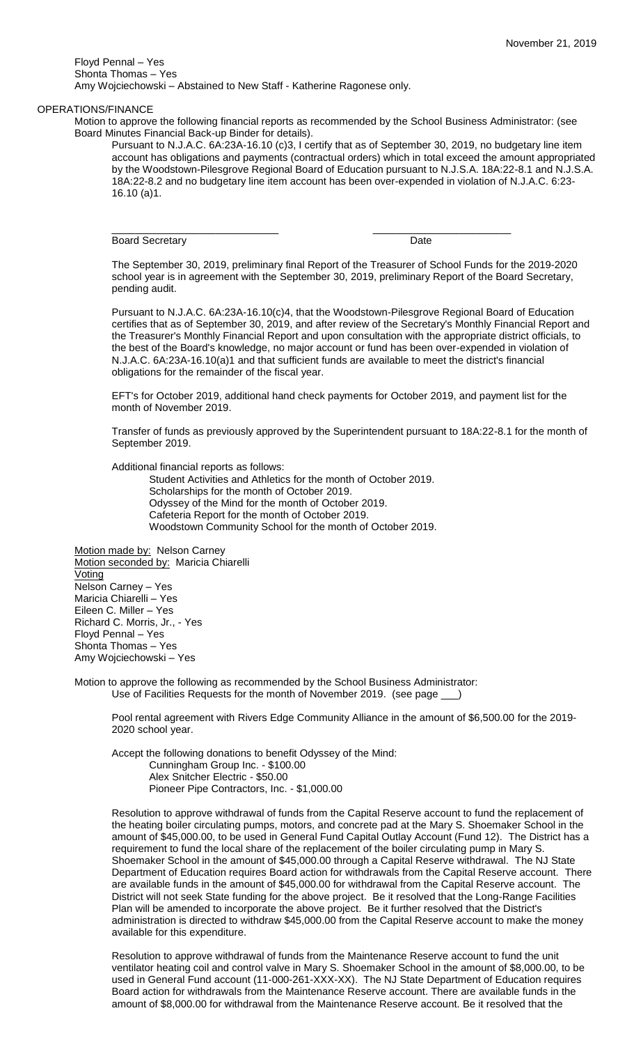Floyd Pennal – Yes Shonta Thomas – Yes Amy Wojciechowski – Abstained to New Staff - Katherine Ragonese only.

#### OPERATIONS/FINANCE

Motion to approve the following financial reports as recommended by the School Business Administrator: (see Board Minutes Financial Back-up Binder for details).

\_\_\_\_\_\_\_\_\_\_\_\_\_\_\_\_\_\_\_\_\_\_\_\_\_\_\_\_\_ \_\_\_\_\_\_\_\_\_\_\_\_\_\_\_\_\_\_\_\_\_\_\_\_

Pursuant to N.J.A.C. 6A:23A-16.10 (c)3, I certify that as of September 30, 2019, no budgetary line item account has obligations and payments (contractual orders) which in total exceed the amount appropriated by the Woodstown-Pilesgrove Regional Board of Education pursuant to N.J.S.A. 18A:22-8.1 and N.J.S.A. 18A:22-8.2 and no budgetary line item account has been over-expended in violation of N.J.A.C. 6:23- 16.10 (a)1.

Board Secretary **Date** 

The September 30, 2019, preliminary final Report of the Treasurer of School Funds for the 2019-2020 school year is in agreement with the September 30, 2019, preliminary Report of the Board Secretary, pending audit.

Pursuant to N.J.A.C. 6A:23A-16.10(c)4, that the Woodstown-Pilesgrove Regional Board of Education certifies that as of September 30, 2019, and after review of the Secretary's Monthly Financial Report and the Treasurer's Monthly Financial Report and upon consultation with the appropriate district officials, to the best of the Board's knowledge, no major account or fund has been over-expended in violation of N.J.A.C. 6A:23A-16.10(a)1 and that sufficient funds are available to meet the district's financial obligations for the remainder of the fiscal year.

EFT's for October 2019, additional hand check payments for October 2019, and payment list for the month of November 2019.

Transfer of funds as previously approved by the Superintendent pursuant to 18A:22-8.1 for the month of September 2019.

Additional financial reports as follows:

Student Activities and Athletics for the month of October 2019. Scholarships for the month of October 2019. Odyssey of the Mind for the month of October 2019. Cafeteria Report for the month of October 2019. Woodstown Community School for the month of October 2019.

Motion made by: Nelson Carney Motion seconded by: Maricia Chiarelli Voting Nelson Carney – Yes Maricia Chiarelli – Yes Eileen C. Miller – Yes Richard C. Morris, Jr., - Yes Floyd Pennal – Yes Shonta Thomas – Yes Amy Wojciechowski – Yes

Motion to approve the following as recommended by the School Business Administrator: Use of Facilities Requests for the month of November 2019. (see page \_\_\_)

Pool rental agreement with Rivers Edge Community Alliance in the amount of \$6,500.00 for the 2019- 2020 school year.

Accept the following donations to benefit Odyssey of the Mind: Cunningham Group Inc. - \$100.00 Alex Snitcher Electric - \$50.00 Pioneer Pipe Contractors, Inc. - \$1,000.00

Resolution to approve withdrawal of funds from the Capital Reserve account to fund the replacement of the heating boiler circulating pumps, motors, and concrete pad at the Mary S. Shoemaker School in the amount of \$45,000.00, to be used in General Fund Capital Outlay Account (Fund 12). The District has a requirement to fund the local share of the replacement of the boiler circulating pump in Mary S. Shoemaker School in the amount of \$45,000.00 through a Capital Reserve withdrawal. The NJ State Department of Education requires Board action for withdrawals from the Capital Reserve account. There are available funds in the amount of \$45,000.00 for withdrawal from the Capital Reserve account. The District will not seek State funding for the above project. Be it resolved that the Long-Range Facilities Plan will be amended to incorporate the above project. Be it further resolved that the District's administration is directed to withdraw \$45,000.00 from the Capital Reserve account to make the money available for this expenditure.

Resolution to approve withdrawal of funds from the Maintenance Reserve account to fund the unit ventilator heating coil and control valve in Mary S. Shoemaker School in the amount of \$8,000.00, to be used in General Fund account (11-000-261-XXX-XX). The NJ State Department of Education requires Board action for withdrawals from the Maintenance Reserve account. There are available funds in the amount of \$8,000.00 for withdrawal from the Maintenance Reserve account. Be it resolved that the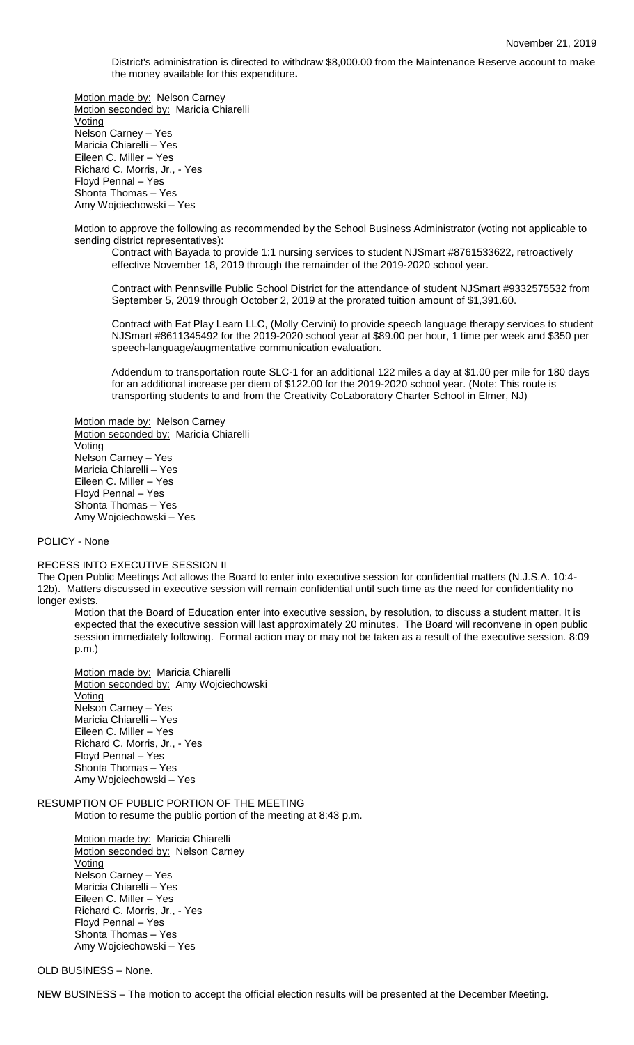District's administration is directed to withdraw \$8,000.00 from the Maintenance Reserve account to make the money available for this expenditure**.**

Motion made by: Nelson Carney Motion seconded by: Maricia Chiarelli **Voting** Nelson Carney – Yes Maricia Chiarelli – Yes Eileen C. Miller – Yes Richard C. Morris, Jr., - Yes Floyd Pennal – Yes Shonta Thomas – Yes Amy Wojciechowski – Yes

Motion to approve the following as recommended by the School Business Administrator (voting not applicable to sending district representatives):

Contract with Bayada to provide 1:1 nursing services to student NJSmart #8761533622, retroactively effective November 18, 2019 through the remainder of the 2019-2020 school year.

Contract with Pennsville Public School District for the attendance of student NJSmart #9332575532 from September 5, 2019 through October 2, 2019 at the prorated tuition amount of \$1,391.60.

Contract with Eat Play Learn LLC, (Molly Cervini) to provide speech language therapy services to student NJSmart #8611345492 for the 2019-2020 school year at \$89.00 per hour, 1 time per week and \$350 per speech-language/augmentative communication evaluation.

Addendum to transportation route SLC-1 for an additional 122 miles a day at \$1.00 per mile for 180 days for an additional increase per diem of \$122.00 for the 2019-2020 school year. (Note: This route is transporting students to and from the Creativity CoLaboratory Charter School in Elmer, NJ)

Motion made by: Nelson Carney Motion seconded by: Maricia Chiarelli **Voting** Nelson Carney – Yes Maricia Chiarelli – Yes Eileen C. Miller – Yes Floyd Pennal – Yes Shonta Thomas – Yes Amy Wojciechowski – Yes

# POLICY - None

#### RECESS INTO EXECUTIVE SESSION II

The Open Public Meetings Act allows the Board to enter into executive session for confidential matters (N.J.S.A. 10:4- 12b). Matters discussed in executive session will remain confidential until such time as the need for confidentiality no longer exists.

Motion that the Board of Education enter into executive session, by resolution, to discuss a student matter. It is expected that the executive session will last approximately 20 minutes. The Board will reconvene in open public session immediately following. Formal action may or may not be taken as a result of the executive session. 8:09 p.m.)

Motion made by: Maricia Chiarelli Motion seconded by: Amy Wojciechowski **Voting** Nelson Carney – Yes Maricia Chiarelli – Yes Eileen C. Miller – Yes Richard C. Morris, Jr., - Yes Floyd Pennal – Yes Shonta Thomas – Yes Amy Wojciechowski – Yes

### RESUMPTION OF PUBLIC PORTION OF THE MEETING Motion to resume the public portion of the meeting at 8:43 p.m.

Motion made by: Maricia Chiarelli Motion seconded by: Nelson Carney Voting Nelson Carney – Yes Maricia Chiarelli – Yes Eileen C. Miller – Yes Richard C. Morris, Jr., - Yes Floyd Pennal – Yes Shonta Thomas – Yes Amy Wojciechowski – Yes

## OLD BUSINESS – None.

NEW BUSINESS – The motion to accept the official election results will be presented at the December Meeting.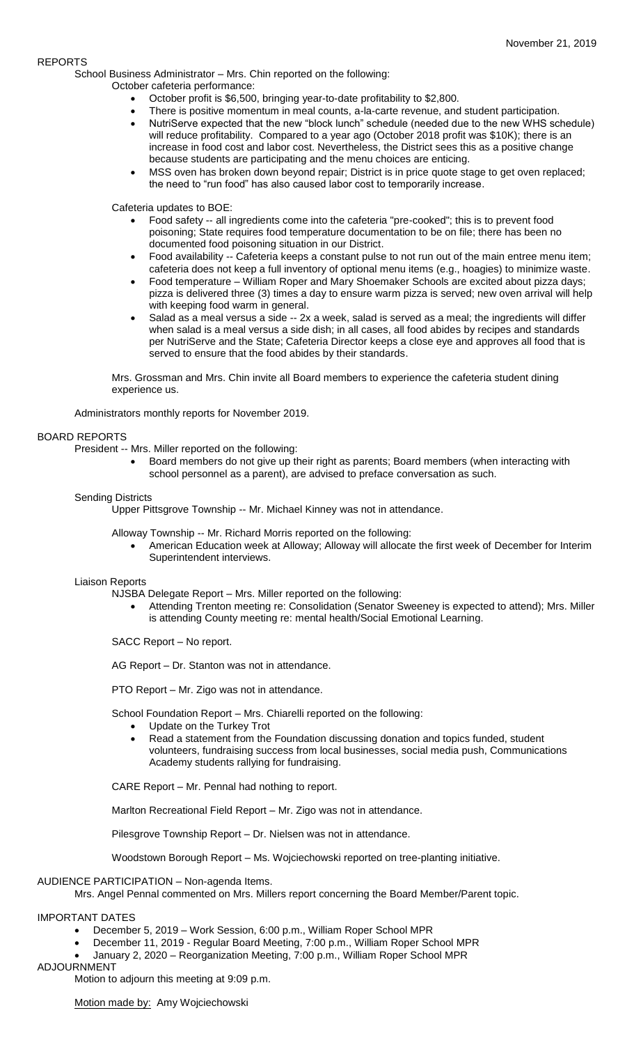# REPORTS

School Business Administrator – Mrs. Chin reported on the following:

October cafeteria performance:

- October profit is \$6,500, bringing year-to-date profitability to \$2,800.
- There is positive momentum in meal counts, a-la-carte revenue, and student participation.
- NutriServe expected that the new "block lunch" schedule (needed due to the new WHS schedule) will reduce profitability. Compared to a year ago (October 2018 profit was \$10K); there is an increase in food cost and labor cost. Nevertheless, the District sees this as a positive change because students are participating and the menu choices are enticing.
- MSS oven has broken down beyond repair; District is in price quote stage to get oven replaced; the need to "run food" has also caused labor cost to temporarily increase.

Cafeteria updates to BOE:

- Food safety -- all ingredients come into the cafeteria "pre-cooked"; this is to prevent food poisoning; State requires food temperature documentation to be on file; there has been no documented food poisoning situation in our District.
- Food availability -- Cafeteria keeps a constant pulse to not run out of the main entree menu item; cafeteria does not keep a full inventory of optional menu items (e.g., hoagies) to minimize waste.
- Food temperature William Roper and Mary Shoemaker Schools are excited about pizza days; pizza is delivered three (3) times a day to ensure warm pizza is served; new oven arrival will help with keeping food warm in general.
- Salad as a meal versus a side -- 2x a week, salad is served as a meal; the ingredients will differ when salad is a meal versus a side dish; in all cases, all food abides by recipes and standards per NutriServe and the State; Cafeteria Director keeps a close eye and approves all food that is served to ensure that the food abides by their standards.

Mrs. Grossman and Mrs. Chin invite all Board members to experience the cafeteria student dining experience us.

Administrators monthly reports for November 2019.

# BOARD REPORTS

President -- Mrs. Miller reported on the following:

 Board members do not give up their right as parents; Board members (when interacting with school personnel as a parent), are advised to preface conversation as such.

## Sending Districts

Upper Pittsgrove Township -- Mr. Michael Kinney was not in attendance.

Alloway Township -- Mr. Richard Morris reported on the following:

 American Education week at Alloway; Alloway will allocate the first week of December for Interim Superintendent interviews.

## Liaison Reports

NJSBA Delegate Report – Mrs. Miller reported on the following:

 Attending Trenton meeting re: Consolidation (Senator Sweeney is expected to attend); Mrs. Miller is attending County meeting re: mental health/Social Emotional Learning.

SACC Report – No report.

AG Report – Dr. Stanton was not in attendance.

PTO Report – Mr. Zigo was not in attendance.

School Foundation Report – Mrs. Chiarelli reported on the following:

- Update on the Turkey Trot
- Read a statement from the Foundation discussing donation and topics funded, student volunteers, fundraising success from local businesses, social media push, Communications Academy students rallying for fundraising.

CARE Report – Mr. Pennal had nothing to report.

Marlton Recreational Field Report – Mr. Zigo was not in attendance.

Pilesgrove Township Report – Dr. Nielsen was not in attendance.

Woodstown Borough Report – Ms. Wojciechowski reported on tree-planting initiative.

# AUDIENCE PARTICIPATION – Non-agenda Items.

Mrs. Angel Pennal commented on Mrs. Millers report concerning the Board Member/Parent topic.

## IMPORTANT DATES

- December 5, 2019 Work Session, 6:00 p.m., William Roper School MPR
- December 11, 2019 Regular Board Meeting, 7:00 p.m., William Roper School MPR
- January 2, 2020 Reorganization Meeting, 7:00 p.m., William Roper School MPR

## ADJOURNMENT

Motion to adjourn this meeting at 9:09 p.m.